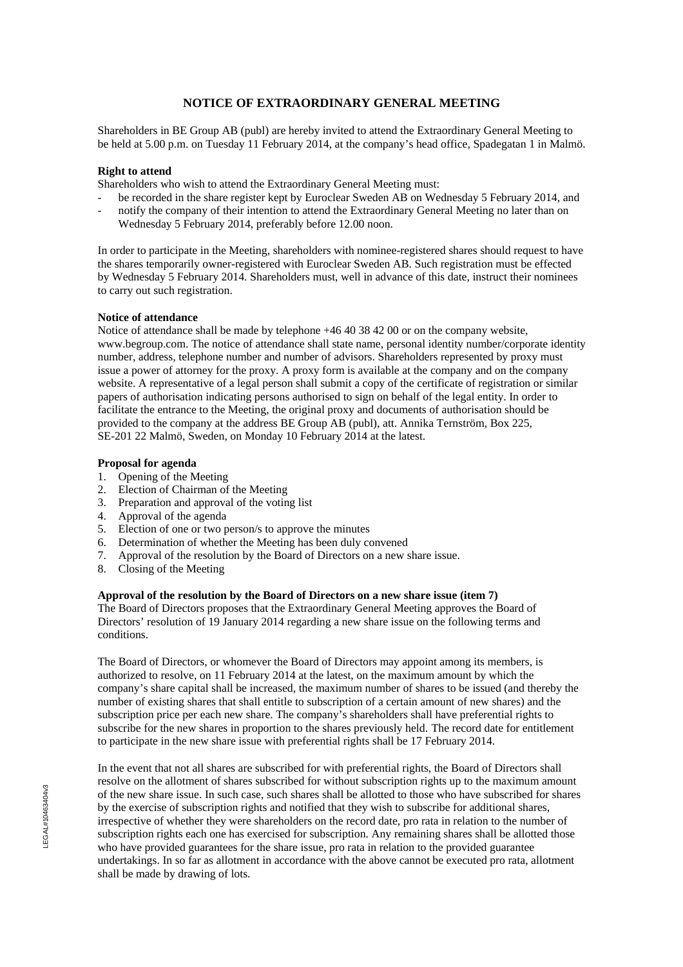# **NOTICE OF EXTRAORDINARY GENERAL MEETING**

Shareholders in BE Group AB (publ) are hereby invited to attend the Extraordinary General Meeting to be held at 5.00 p.m. on Tuesday 11 February 2014, at the company's head office, Spadegatan 1 in Malmö.

### **Right to attend**

Shareholders who wish to attend the Extraordinary General Meeting must:

- be recorded in the share register kept by Euroclear Sweden AB on Wednesday 5 February 2014, and
- notify the company of their intention to attend the Extraordinary General Meeting no later than on Wednesday 5 February 2014, preferably before 12.00 noon.

In order to participate in the Meeting, shareholders with nominee-registered shares should request to have the shares temporarily owner-registered with Euroclear Sweden AB. Such registration must be effected by Wednesday 5 February 2014. Shareholders must, well in advance of this date, instruct their nominees to carry out such registration.

### **Notice of attendance**

Notice of attendance shall be made by telephone +46 40 38 42 00 or on the company website, www.begroup.com. The notice of attendance shall state name, personal identity number/corporate identity number, address, telephone number and number of advisors. Shareholders represented by proxy must issue a power of attorney for the proxy. A proxy form is available at the company and on the company website. A representative of a legal person shall submit a copy of the certificate of registration or similar papers of authorisation indicating persons authorised to sign on behalf of the legal entity. In order to facilitate the entrance to the Meeting, the original proxy and documents of authorisation should be provided to the company at the address BE Group AB (publ), att. Annika Ternström, Box 225, SE-201 22 Malmö, Sweden, on Monday 10 February 2014 at the latest.

### **Proposal for agenda**

- 1. Opening of the Meeting
- 2. Election of Chairman of the Meeting
- 3. Preparation and approval of the voting list
- 4. Approval of the agenda
- 5. Election of one or two person/s to approve the minutes
- 6. Determination of whether the Meeting has been duly convened
- 7. Approval of the resolution by the Board of Directors on a new share issue.
- 8. Closing of the Meeting

### **Approval of the resolution by the Board of Directors on a new share issue (item 7)**

The Board of Directors proposes that the Extraordinary General Meeting approves the Board of Directors' resolution of 19 January 2014 regarding a new share issue on the following terms and conditions.

The Board of Directors, or whomever the Board of Directors may appoint among its members, is authorized to resolve, on 11 February 2014 at the latest, on the maximum amount by which the company's share capital shall be increased, the maximum number of shares to be issued (and thereby the number of existing shares that shall entitle to subscription of a certain amount of new shares) and the subscription price per each new share. The company's shareholders shall have preferential rights to subscribe for the new shares in proportion to the shares previously held. The record date for entitlement to participate in the new share issue with preferential rights shall be 17 February 2014.

In the event that not all shares are subscribed for with preferential rights, the Board of Directors shall resolve on the allotment of shares subscribed for without subscription rights up to the maximum amount of the new share issue. In such case, such shares shall be allotted to those who have subscribed for shares by the exercise of subscription rights and notified that they wish to subscribe for additional shares, irrespective of whether they were shareholders on the record date, pro rata in relation to the number of subscription rights each one has exercised for subscription. Any remaining shares shall be allotted those who have provided guarantees for the share issue, pro rata in relation to the provided guarantee undertakings. In so far as allotment in accordance with the above cannot be executed pro rata, allotment shall be made by drawing of lots.